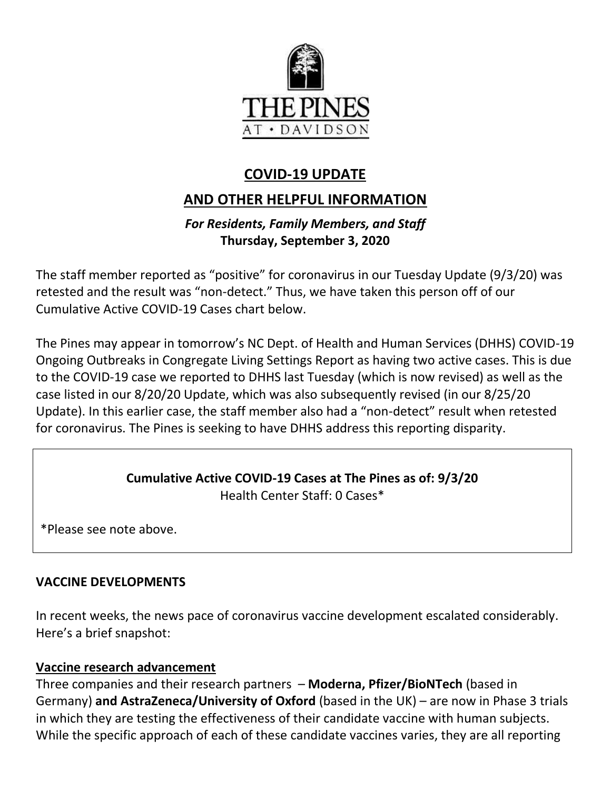

# **COVID-19 UPDATE**

# **AND OTHER HELPFUL INFORMATION**

## *For Residents, Family Members, and Staff* **Thursday, September 3, 2020**

The staff member reported as "positive" for coronavirus in our Tuesday Update (9/3/20) was retested and the result was "non-detect." Thus, we have taken this person off of our Cumulative Active COVID-19 Cases chart below.

The Pines may appear in tomorrow's NC Dept. of Health and Human Services (DHHS) COVID-19 Ongoing Outbreaks in Congregate Living Settings Report as having two active cases. This is due to the COVID-19 case we reported to DHHS last Tuesday (which is now revised) as well as the case listed in our 8/20/20 Update, which was also subsequently revised (in our 8/25/20 Update). In this earlier case, the staff member also had a "non-detect" result when retested for coronavirus. The Pines is seeking to have DHHS address this reporting disparity.

#### **Cumulative Active COVID-19 Cases at The Pines as of: 9/3/20** Health Center Staff: 0 Cases\*

\*Please see note above.

## **VACCINE DEVELOPMENTS**

In recent weeks, the news pace of coronavirus vaccine development escalated considerably. Here's a brief snapshot:

## **Vaccine research advancement**

Three companies and their research partners – **Moderna, Pfizer/BioNTech** (based in Germany) **and AstraZeneca/University of Oxford** (based in the UK) – are now in Phase 3 trials in which they are testing the effectiveness of their candidate vaccine with human subjects. While the specific approach of each of these candidate vaccines varies, they are all reporting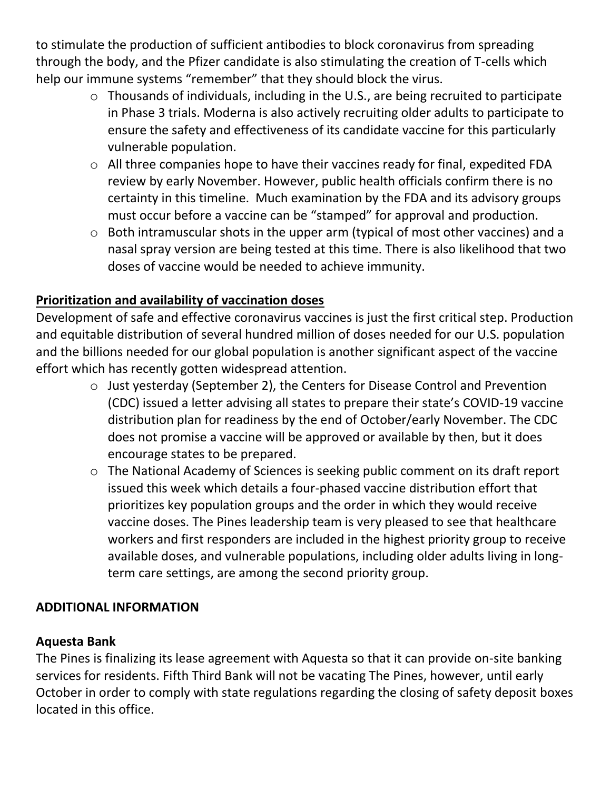to stimulate the production of sufficient antibodies to block coronavirus from spreading through the body, and the Pfizer candidate is also stimulating the creation of T-cells which help our immune systems "remember" that they should block the virus.

- o Thousands of individuals, including in the U.S., are being recruited to participate in Phase 3 trials. Moderna is also actively recruiting older adults to participate to ensure the safety and effectiveness of its candidate vaccine for this particularly vulnerable population.
- o All three companies hope to have their vaccines ready for final, expedited FDA review by early November. However, public health officials confirm there is no certainty in this timeline. Much examination by the FDA and its advisory groups must occur before a vaccine can be "stamped" for approval and production.
- o Both intramuscular shots in the upper arm (typical of most other vaccines) and a nasal spray version are being tested at this time. There is also likelihood that two doses of vaccine would be needed to achieve immunity.

# **Prioritization and availability of vaccination doses**

Development of safe and effective coronavirus vaccines is just the first critical step. Production and equitable distribution of several hundred million of doses needed for our U.S. population and the billions needed for our global population is another significant aspect of the vaccine effort which has recently gotten widespread attention.

- o Just yesterday (September 2), the Centers for Disease Control and Prevention (CDC) issued a letter advising all states to prepare their state's COVID-19 vaccine distribution plan for readiness by the end of October/early November. The CDC does not promise a vaccine will be approved or available by then, but it does encourage states to be prepared.
- o The National Academy of Sciences is seeking public comment on its draft report issued this week which details a four-phased vaccine distribution effort that prioritizes key population groups and the order in which they would receive vaccine doses. The Pines leadership team is very pleased to see that healthcare workers and first responders are included in the highest priority group to receive available doses, and vulnerable populations, including older adults living in longterm care settings, are among the second priority group.

# **ADDITIONAL INFORMATION**

# **Aquesta Bank**

The Pines is finalizing its lease agreement with Aquesta so that it can provide on-site banking services for residents. Fifth Third Bank will not be vacating The Pines, however, until early October in order to comply with state regulations regarding the closing of safety deposit boxes located in this office.